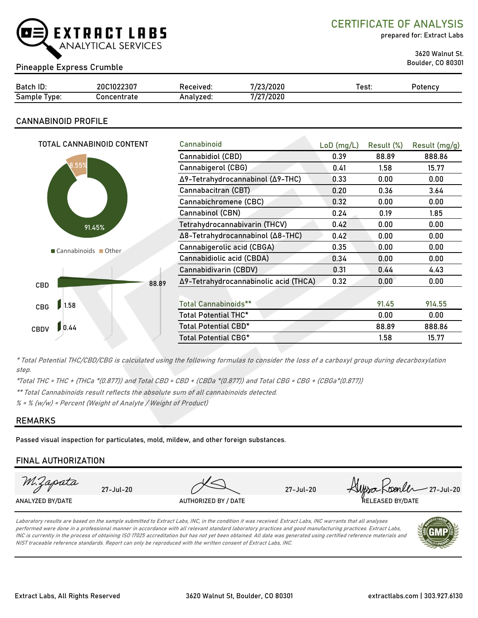

CERTIFICATE OF ANALYSIS

prepared for: Extract Labs

3620 Walnut St.

## Boulder, CO 80301 Pineapple Express Crumble

| Batch ID:       | 20C1022307       | Received: | 7/23/2020 | Test. | Potencv |
|-----------------|------------------|-----------|-----------|-------|---------|
| Sample<br>Type: | `oncentrate<br>◡ | Analvzed: | /27/2020  |       |         |

### CANNABINOID PROFILE

| TOTAL CANNABINOID CONTENT | Cannabinoid                                    | $LoD$ (mg/L) | Result (%) | Result (mg/g) |
|---------------------------|------------------------------------------------|--------------|------------|---------------|
|                           | Cannabidiol (CBD)                              | 0.39         | 88.89      | 888.86        |
| 8.55%                     | Cannabigerol (CBG)                             | 0.41         | 1.58       | 15.77         |
|                           | Δ9-Tetrahydrocannabinol (Δ9-THC)               | 0.33         | 0.00       | 0.00          |
|                           | Cannabacitran (CBT)                            | 0.20         | 0.36       | 3.64          |
|                           | Cannabichromene (CBC)                          | 0.32         | 0.00       | 0.00          |
|                           | Cannabinol (CBN)                               | 0.24         | 0.19       | 1.85          |
| 91.45%                    | Tetrahydrocannabivarin (THCV)                  | 0.42         | 0.00       | 0.00          |
|                           | Δ8-Tetrahydrocannabinol (Δ8-THC)               | 0.42         | 0.00       | 0.00          |
| Cannabinoids Other        | Cannabigerolic acid (CBGA)                     | 0.35         | 0.00       | 0.00          |
|                           | Cannabidiolic acid (CBDA)                      | 0.34         | 0.00       | 0.00          |
|                           | Cannabidivarin (CBDV)                          | 0.31         | 0.44       | 4.43          |
| CBD                       | Δ9-Tetrahydrocannabinolic acid (THCA)<br>88.89 | 0.32         | 0.00       | 0.00          |
|                           |                                                |              |            |               |
| 1.58<br>CBG               | <b>Total Cannabinoids**</b>                    |              | 91.45      | 914.55        |
|                           | Total Potential THC*                           |              | 0.00       | 0.00          |
| 0.44<br><b>CBDV</b>       | Total Potential CBD*                           |              | 88.89      | 888.86        |
|                           | Total Potential CBG*                           |              | 1.58       | 15.77         |

\* Total Potential THC/CBD/CBG is calculated using the following formulas to consider the loss of a carboxyl group during decarboxylation step.

\*Total THC = THC + (THCa \*(0.877)) and Total CBD = CBD + (CBDa \*(0.877)) and Total CBG = CBG + (CBGa\*(0.877))

\*\* Total Cannabinoids result reflects the absolute sum of all cannabinoids detected.

 $% =$  % (w/w) = Percent (Weight of Analyte / Weight of Product)

### REMARKS

Passed visual inspection for particulates, mold, mildew, and other foreign substances.

### FINAL AUTHORIZATION

| M.Zapata         | 27-Jul-20 |                      | 27-Jul-20 | Allysa Koenler 27-Jul-20 |
|------------------|-----------|----------------------|-----------|--------------------------|
| ANALYZED BY/DATE |           | AUTHORIZED BY / DATE |           | RELEASED BY/DATE         |

Laboratory results are based on the sample submitted to Extract Labs, INC, in the condition it was received. Extract Labs, INC warrants that all analyses performed were done in a professional manner in accordance with all relevant standard laboratory practices and good manufacturing practices. Extract Labs, INC is currently in the process of obtaining ISO 17025 accreditation but has not yet been obtained. All data was generated using certified reference materials and NIST traceable reference standards. Report can only be reproduced with the written consent of Extract Labs, INC.

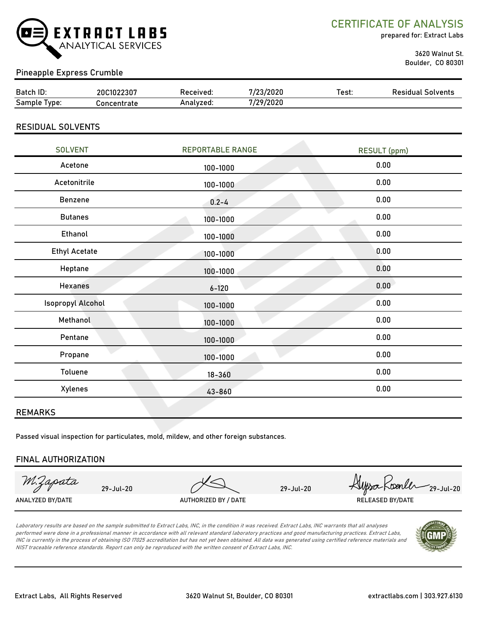

CERTIFICATE OF ANALYSIS

prepared for: Extract Labs

 3620 Walnut St. Boulder, CO 80301

### Pineapple Express Crumble

| Batch<br>n ID:  | 1022307<br>20 | teceived. | /2020          | Test: | Solvents<br>Residiial |
|-----------------|---------------|-----------|----------------|-------|-----------------------|
| Sample<br>'vpe. | `centrate     | Analyzed: | /29/2020<br>74 |       |                       |

### RESIDUAL SOLVENTS

| <b>SOLVENT</b>           | <b>REPORTABLE RANGE</b> | <b>RESULT (ppm)</b> |
|--------------------------|-------------------------|---------------------|
| Acetone                  | 100-1000                | 0.00                |
| Acetonitrile             | 100-1000                | 0.00                |
| Benzene                  | $0.2 - 4$               | 0.00                |
| <b>Butanes</b>           | 100-1000                | 0.00                |
| Ethanol                  | 100-1000                | 0.00                |
| <b>Ethyl Acetate</b>     | 100-1000                | 0.00                |
| Heptane                  | 100-1000                | 0.00                |
| <b>Hexanes</b>           | $6 - 120$               | 0.00                |
| <b>Isopropyl Alcohol</b> | 100-1000                | 0.00                |
| Methanol                 | 100-1000                | 0.00                |
| Pentane                  | 100-1000                | 0.00                |
| Propane                  | 100-1000                | 0.00                |
| Toluene                  | $18 - 360$              | 0.00                |
| Xylenes                  | 43-860                  | 0.00                |
|                          |                         |                     |

### REMARKS

Passed visual inspection for particulates, mold, mildew, and other foreign substances.

### FINAL AUTHORIZATION

M.Zapata

ANALYZED BY/DATE AUTHORIZED BY / DATE AUTHORIZED BY / DATE RELEASED BY/DATE

29-Jul-20 29-Jul-20  $\mu$  29-Jul-20  $\mu$  29-Jul-20

Laboratory results are based on the sample submitted to Extract Labs, INC, in the condition it was received. Extract Labs, INC warrants that all analyses performed were done in a professional manner in accordance with all relevant standard laboratory practices and good manufacturing practices. Extract Labs, INC is currently in the process of obtaining ISO 17025 accreditation but has not yet been obtained. All data was generated using certified reference materials and NIST traceable reference standards. Report can only be reproduced with the written consent of Extract Labs, INC.